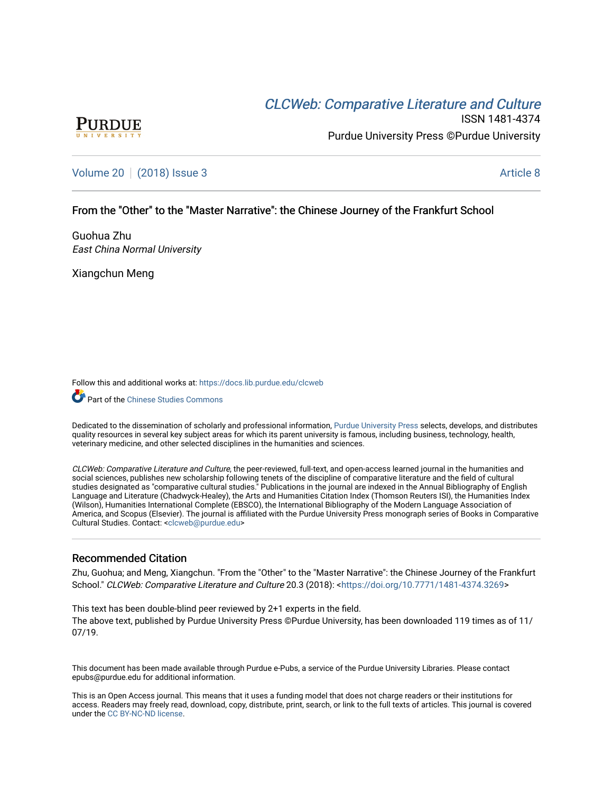# CLCW[eb: Comparative Liter](https://docs.lib.purdue.edu/clcweb)ature and Culture



ISSN 1481-4374 Purdue University Press ©Purdue University

## [Volume 20](https://docs.lib.purdue.edu/clcweb/vol20) | [\(2018\) Issue 3](https://docs.lib.purdue.edu/clcweb/vol20/iss3) Article 8

## From the "Other" to the "Master Narrative": the Chinese Journey of the Frankfurt School

Guohua Zhu East China Normal University

Xiangchun Meng

Follow this and additional works at: [https://docs.lib.purdue.edu/clcweb](https://docs.lib.purdue.edu/clcweb?utm_source=docs.lib.purdue.edu%2Fclcweb%2Fvol20%2Fiss3%2F8&utm_medium=PDF&utm_campaign=PDFCoverPages)

**Part of the Chinese Studies Commons** 

Dedicated to the dissemination of scholarly and professional information, [Purdue University Press](http://www.thepress.purdue.edu/) selects, develops, and distributes quality resources in several key subject areas for which its parent university is famous, including business, technology, health, veterinary medicine, and other selected disciplines in the humanities and sciences.

CLCWeb: Comparative Literature and Culture, the peer-reviewed, full-text, and open-access learned journal in the humanities and social sciences, publishes new scholarship following tenets of the discipline of comparative literature and the field of cultural studies designated as "comparative cultural studies." Publications in the journal are indexed in the Annual Bibliography of English Language and Literature (Chadwyck-Healey), the Arts and Humanities Citation Index (Thomson Reuters ISI), the Humanities Index (Wilson), Humanities International Complete (EBSCO), the International Bibliography of the Modern Language Association of America, and Scopus (Elsevier). The journal is affiliated with the Purdue University Press monograph series of Books in Comparative Cultural Studies. Contact: [<clcweb@purdue.edu](mailto:clcweb@purdue.edu)>

## Recommended Citation

Zhu, Guohua; and Meng, Xiangchun. "From the "Other" to the "Master Narrative": the Chinese Journey of the Frankfurt School." CLCWeb: Comparative Literature and Culture 20.3 (2018): [<https://doi.org/10.7771/1481-4374.3269>](https://doi.org/10.7771/1481-4374.3269)

This text has been double-blind peer reviewed by 2+1 experts in the field. The above text, published by Purdue University Press ©Purdue University, has been downloaded 119 times as of 11/ 07/19.

This document has been made available through Purdue e-Pubs, a service of the Purdue University Libraries. Please contact epubs@purdue.edu for additional information.

This is an Open Access journal. This means that it uses a funding model that does not charge readers or their institutions for access. Readers may freely read, download, copy, distribute, print, search, or link to the full texts of articles. This journal is covered under the [CC BY-NC-ND license.](https://creativecommons.org/licenses/by-nc-nd/4.0/)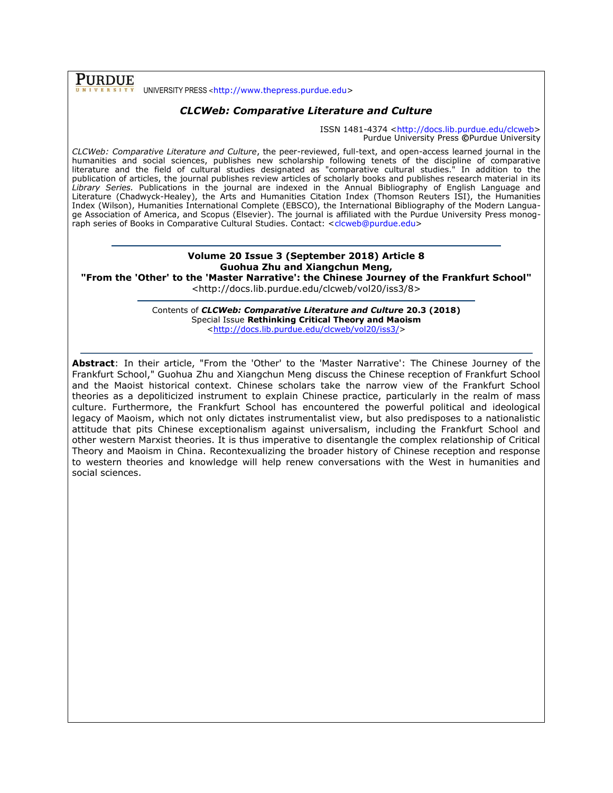**PURDUE** UNIVERSITY PRESS <[http://www.thepress.purdue.edu>](http://www.thepress.purdue.edu/)

## *CLCWeb: Comparative Literature and Culture*

ISSN 1481-4374 [<http://docs.lib.purdue.edu/clcweb>](http://docs.lib.purdue.edu/clcweb) Purdue University Press **©**Purdue University

*CLCWeb: Comparative Literature and Culture*, the peer-reviewed, full-text, and open-access learned journal in the humanities and social sciences, publishes new scholarship following tenets of the discipline of comparative literature and the field of cultural studies designated as "comparative cultural studies." In addition to the publication of articles, the journal publishes review articles of scholarly books and publishes research material in its *Library Series.* Publications in the journal are indexed in the Annual Bibliography of English Language and Literature (Chadwyck-Healey), the Arts and Humanities Citation Index (Thomson Reuters ISI), the Humanities Index (Wilson), Humanities International Complete (EBSCO), the International Bibliography of the Modern Language Association of America, and Scopus (Elsevier). The journal is affiliated with the Purdue University Press monog-raph series of Books in Comparative Cultural Studies. Contact: [<clcweb@purdue.edu>](mailto:clcweb@purdue.edu)

#### **Volume 20 Issue 3 (September 2018) Article 8 Guohua Zhu and Xiangchun Meng, "From the 'Other' to the 'Master Narrative': the Chinese Journey of the Frankfurt School"**

<http://docs.lib.purdue.edu/clcweb/vol20/iss3/8>

Contents of *CLCWeb: Comparative Literature and Culture* **20.3 (2018)** Special Issue **Rethinking Critical Theory and Maoism** [<http://docs.lib.purdue.edu/clcweb/vol20/iss3/>](http://docs.lib.purdue.edu/clcweb/vol20/iss3/)

**Abstract**: In their article, "From the 'Other' to the 'Master Narrative': The Chinese Journey of the Frankfurt School," Guohua Zhu and Xiangchun Meng discuss the Chinese reception of Frankfurt School and the Maoist historical context. Chinese scholars take the narrow view of the Frankfurt School theories as a depoliticized instrument to explain Chinese practice, particularly in the realm of mass culture. Furthermore, the Frankfurt School has encountered the powerful political and ideological legacy of Maoism, which not only dictates instrumentalist view, but also predisposes to a nationalistic attitude that pits Chinese exceptionalism against universalism, including the Frankfurt School and other western Marxist theories. It is thus imperative to disentangle the complex relationship of Critical Theory and Maoism in China. Recontexualizing the broader history of Chinese reception and response to western theories and knowledge will help renew conversations with the West in humanities and social sciences.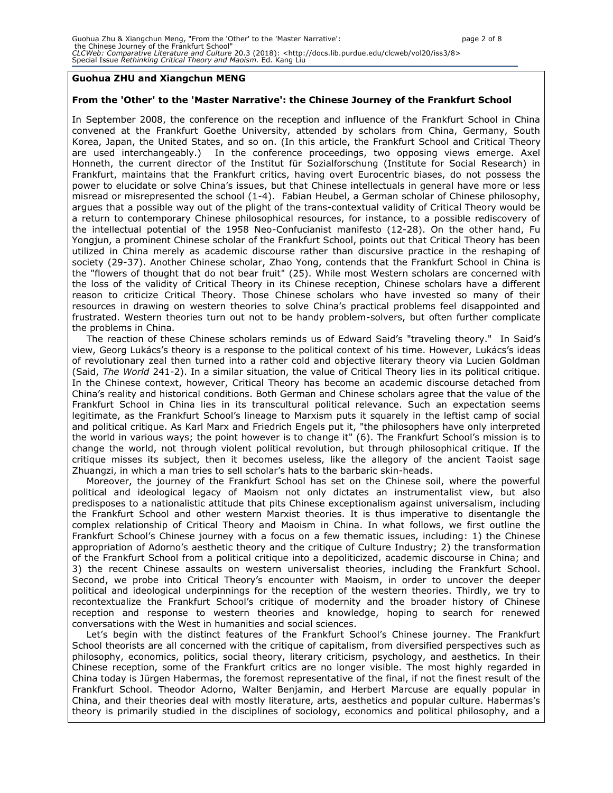#### **Guohua ZHU and Xiangchun MENG**

#### **From the 'Other' to the 'Master Narrative': the Chinese Journey of the Frankfurt School**

In September 2008, the conference on the reception and influence of the Frankfurt School in China convened at the Frankfurt Goethe University, attended by scholars from China, Germany, South Korea, Japan, the United States, and so on. (In this article, the Frankfurt School and Critical Theory are used interchangeably.) In the conference proceedings, two opposing views emerge. Axel Honneth, the current director of the Institut für Sozialforschung (Institute for Social Research) in Frankfurt, maintains that the Frankfurt critics, having overt Eurocentric biases, do not possess the power to elucidate or solve China's issues, but that Chinese intellectuals in general have more or less misread or misrepresented the school (1-4). Fabian Heubel, a German scholar of Chinese philosophy, argues that a possible way out of the plight of the trans-contextual validity of Critical Theory would be a return to contemporary Chinese philosophical resources, for instance, to a possible rediscovery of the intellectual potential of the 1958 Neo-Confucianist manifesto (12-28). On the other hand, Fu Yongjun, a prominent Chinese scholar of the Frankfurt School, points out that Critical Theory has been utilized in China merely as academic discourse rather than discursive practice in the reshaping of society (29-37). Another Chinese scholar, Zhao Yong, contends that the Frankfurt School in China is the "flowers of thought that do not bear fruit" (25). While most Western scholars are concerned with the loss of the validity of Critical Theory in its Chinese reception, Chinese scholars have a different reason to criticize Critical Theory. Those Chinese scholars who have invested so many of their resources in drawing on western theories to solve China's practical problems feel disappointed and frustrated. Western theories turn out not to be handy problem-solvers, but often further complicate the problems in China.

The reaction of these Chinese scholars reminds us of Edward Said's "traveling theory." In Said's view, Georg Lukács's theory is a response to the political context of his time. However, Lukács's ideas of revolutionary zeal then turned into a rather cold and objective literary theory via Lucien Goldman (Said, *The World* 241-2). In a similar situation, the value of Critical Theory lies in its political critique. In the Chinese context, however, Critical Theory has become an academic discourse detached from China's reality and historical conditions. Both German and Chinese scholars agree that the value of the Frankfurt School in China lies in its transcultural political relevance. Such an expectation seems legitimate, as the Frankfurt School's lineage to Marxism puts it squarely in the leftist camp of social and political critique. As Karl Marx and Friedrich Engels put it, "the philosophers have only interpreted the world in various ways; the point however is to change it" (6). The Frankfurt School's mission is to change the world, not through violent political revolution, but through philosophical critique. If the critique misses its subject, then it becomes useless, like the allegory of the ancient Taoist sage Zhuangzi, in which a man tries to sell scholar's hats to the barbaric skin-heads.

Moreover, the journey of the Frankfurt School has set on the Chinese soil, where the powerful political and ideological legacy of Maoism not only dictates an instrumentalist view, but also predisposes to a nationalistic attitude that pits Chinese exceptionalism against universalism, including the Frankfurt School and other western Marxist theories. It is thus imperative to disentangle the complex relationship of Critical Theory and Maoism in China. In what follows, we first outline the Frankfurt School's Chinese journey with a focus on a few thematic issues, including: 1) the Chinese appropriation of Adorno's aesthetic theory and the critique of Culture Industry; 2) the transformation of the Frankfurt School from a political critique into a depoliticized, academic discourse in China; and 3) the recent Chinese assaults on western universalist theories, including the Frankfurt School. Second, we probe into Critical Theory's encounter with Maoism, in order to uncover the deeper political and ideological underpinnings for the reception of the western theories. Thirdly, we try to recontextualize the Frankfurt School's critique of modernity and the broader history of Chinese reception and response to western theories and knowledge, hoping to search for renewed conversations with the West in humanities and social sciences.

Let's begin with the distinct features of the Frankfurt School's Chinese journey. The Frankfurt School theorists are all concerned with the critique of capitalism, from diversified perspectives such as philosophy, economics, politics, social theory, literary criticism, psychology, and aesthetics. In their Chinese reception, some of the Frankfurt critics are no longer visible. The most highly regarded in China today is Jürgen Habermas, the foremost representative of the final, if not the finest result of the Frankfurt School. Theodor Adorno, Walter Benjamin, and Herbert Marcuse are equally popular in China, and their theories deal with mostly literature, arts, aesthetics and popular culture. Habermas's theory is primarily studied in the disciplines of sociology, economics and political philosophy, and a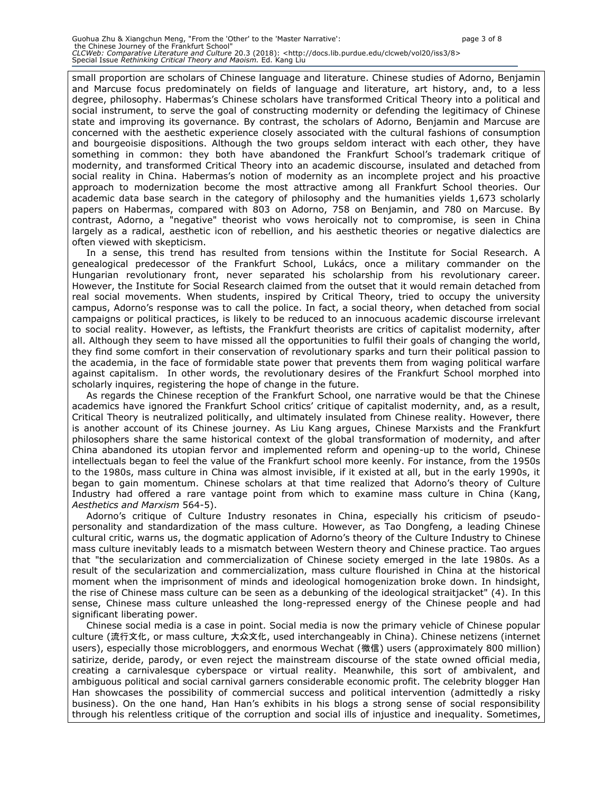small proportion are scholars of Chinese language and literature. Chinese studies of Adorno, Benjamin and Marcuse focus predominately on fields of language and literature, art history, and, to a less degree, philosophy. Habermas's Chinese scholars have transformed Critical Theory into a political and social instrument, to serve the goal of constructing modernity or defending the legitimacy of Chinese state and improving its governance. By contrast, the scholars of Adorno, Benjamin and Marcuse are concerned with the aesthetic experience closely associated with the cultural fashions of consumption and bourgeoisie dispositions. Although the two groups seldom interact with each other, they have something in common: they both have abandoned the Frankfurt School's trademark critique of modernity, and transformed Critical Theory into an academic discourse, insulated and detached from social reality in China. Habermas's notion of modernity as an incomplete project and his proactive approach to modernization become the most attractive among all Frankfurt School theories. Our academic data base search in the category of philosophy and the humanities yields 1,673 scholarly papers on Habermas, compared with 803 on Adorno, 758 on Benjamin, and 780 on Marcuse. By contrast, Adorno, a "negative" theorist who vows heroically not to compromise, is seen in China largely as a radical, aesthetic icon of rebellion, and his aesthetic theories or negative dialectics are often viewed with skepticism.

In a sense, this trend has resulted from tensions within the Institute for Social Research. A genealogical predecessor of the Frankfurt School, Lukács, once a military commander on the Hungarian revolutionary front, never separated his scholarship from his revolutionary career. However, the Institute for Social Research claimed from the outset that it would remain detached from real social movements. When students, inspired by Critical Theory, tried to occupy the university campus, Adorno's response was to call the police. In fact, a social theory, when detached from social campaigns or political practices, is likely to be reduced to an innocuous academic discourse irrelevant to social reality. However, as leftists, the Frankfurt theorists are critics of capitalist modernity, after all. Although they seem to have missed all the opportunities to fulfil their goals of changing the world, they find some comfort in their conservation of revolutionary sparks and turn their political passion to the academia, in the face of formidable state power that prevents them from waging political warfare against capitalism. In other words, the revolutionary desires of the Frankfurt School morphed into scholarly inquires, registering the hope of change in the future.

As regards the Chinese reception of the Frankfurt School, one narrative would be that the Chinese academics have ignored the Frankfurt School critics' critique of capitalist modernity, and, as a result, Critical Theory is neutralized politically, and ultimately insulated from Chinese reality. However, there is another account of its Chinese journey. As Liu Kang argues, Chinese Marxists and the Frankfurt philosophers share the same historical context of the global transformation of modernity, and after China abandoned its utopian fervor and implemented reform and opening-up to the world, Chinese intellectuals began to feel the value of the Frankfurt school more keenly. For instance, from the 1950s to the 1980s, mass culture in China was almost invisible, if it existed at all, but in the early 1990s, it began to gain momentum. Chinese scholars at that time realized that Adorno's theory of Culture Industry had offered a rare vantage point from which to examine mass culture in China (Kang, *Aesthetics and Marxism* 564-5).

Adorno's critique of Culture Industry resonates in China, especially his criticism of pseudopersonality and standardization of the mass culture. However, as Tao Dongfeng, a leading Chinese cultural critic, warns us, the dogmatic application of Adorno's theory of the Culture Industry to Chinese mass culture inevitably leads to a mismatch between Western theory and Chinese practice. Tao argues that "the secularization and commercialization of Chinese society emerged in the late 1980s. As a result of the secularization and commercialization, mass culture flourished in China at the historical moment when the imprisonment of minds and ideological homogenization broke down. In hindsight, the rise of Chinese mass culture can be seen as a debunking of the ideological straitjacket" (4). In this sense, Chinese mass culture unleashed the long-repressed energy of the Chinese people and had significant liberating power.

Chinese social media is a case in point. Social media is now the primary vehicle of Chinese popular culture (流行文化, or mass culture, 大众文化, used interchangeably in China). Chinese netizens (internet users), especially those microbloggers, and enormous Wechat (微信) users (approximately 800 million) satirize, deride, parody, or even reject the mainstream discourse of the state owned official media, creating a carnivalesque cyberspace or virtual reality. Meanwhile, this sort of ambivalent, and ambiguous political and social carnival garners considerable economic profit. The celebrity blogger Han Han showcases the possibility of commercial success and political intervention (admittedly a risky business). On the one hand, Han Han's exhibits in his blogs a strong sense of social responsibility through his relentless critique of the corruption and social ills of injustice and inequality. Sometimes,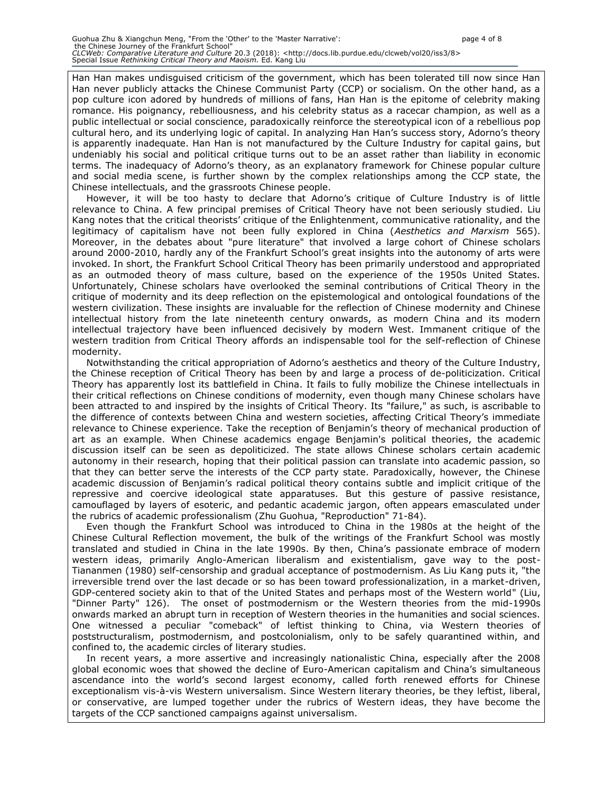Han Han makes undisguised criticism of the government, which has been tolerated till now since Han Han never publicly attacks the Chinese Communist Party (CCP) or socialism. On the other hand, as a pop culture icon adored by hundreds of millions of fans, Han Han is the epitome of celebrity making romance. His poignancy, rebelliousness, and his celebrity status as a racecar champion, as well as a public intellectual or social conscience, paradoxically reinforce the stereotypical icon of a rebellious pop cultural hero, and its underlying logic of capital. In analyzing Han Han's success story, Adorno's theory is apparently inadequate. Han Han is not manufactured by the Culture Industry for capital gains, but undeniably his social and political critique turns out to be an asset rather than liability in economic terms. The inadequacy of Adorno's theory, as an explanatory framework for Chinese popular culture and social media scene, is further shown by the complex relationships among the CCP state, the Chinese intellectuals, and the grassroots Chinese people.

However, it will be too hasty to declare that Adorno's critique of Culture Industry is of little relevance to China. A few principal premises of Critical Theory have not been seriously studied. Liu Kang notes that the critical theorists' critique of the Enlightenment, communicative rationality, and the legitimacy of capitalism have not been fully explored in China (*Aesthetics and Marxism* 565). Moreover, in the debates about "pure literature" that involved a large cohort of Chinese scholars around 2000-2010, hardly any of the Frankfurt School's great insights into the autonomy of arts were invoked. In short, the Frankfurt School Critical Theory has been primarily understood and appropriated as an outmoded theory of mass culture, based on the experience of the 1950s United States. Unfortunately, Chinese scholars have overlooked the seminal contributions of Critical Theory in the critique of modernity and its deep reflection on the epistemological and ontological foundations of the western civilization. These insights are invaluable for the reflection of Chinese modernity and Chinese intellectual history from the late nineteenth century onwards, as modern China and its modern intellectual trajectory have been influenced decisively by modern West. Immanent critique of the western tradition from Critical Theory affords an indispensable tool for the self-reflection of Chinese modernity.

Notwithstanding the critical appropriation of Adorno's aesthetics and theory of the Culture Industry, the Chinese reception of Critical Theory has been by and large a process of de-politicization. Critical Theory has apparently lost its battlefield in China. It fails to fully mobilize the Chinese intellectuals in their critical reflections on Chinese conditions of modernity, even though many Chinese scholars have been attracted to and inspired by the insights of Critical Theory. Its "failure," as such, is ascribable to the difference of contexts between China and western societies, affecting Critical Theory's immediate relevance to Chinese experience. Take the reception of Benjamin's theory of mechanical production of art as an example. When Chinese academics engage Benjamin's political theories, the academic discussion itself can be seen as depoliticized. The state allows Chinese scholars certain academic autonomy in their research, hoping that their political passion can translate into academic passion, so that they can better serve the interests of the CCP party state. Paradoxically, however, the Chinese academic discussion of Benjamin's radical political theory contains subtle and implicit critique of the repressive and coercive ideological state apparatuses. But this gesture of passive resistance, camouflaged by layers of esoteric, and pedantic academic jargon, often appears emasculated under the rubrics of academic professionalism (Zhu Guohua, "Reproduction" 71-84).

Even though the Frankfurt School was introduced to China in the 1980s at the height of the Chinese Cultural Reflection movement, the bulk of the writings of the Frankfurt School was mostly translated and studied in China in the late 1990s. By then, China's passionate embrace of modern western ideas, primarily Anglo-American liberalism and existentialism, gave way to the post-Tiananmen (1980) self-censorship and gradual acceptance of postmodernism. As Liu Kang puts it, "the irreversible trend over the last decade or so has been toward professionalization, in a market-driven, GDP-centered society akin to that of the United States and perhaps most of the Western world" (Liu, "Dinner Party" 126). The onset of postmodernism or the Western theories from the mid-1990s onwards marked an abrupt turn in reception of Western theories in the humanities and social sciences. One witnessed a peculiar "comeback" of leftist thinking to China, via Western theories of poststructuralism, postmodernism, and postcolonialism, only to be safely quarantined within, and confined to, the academic circles of literary studies.

In recent years, a more assertive and increasingly nationalistic China, especially after the 2008 global economic woes that showed the decline of Euro-American capitalism and China's simultaneous ascendance into the world's second largest economy, called forth renewed efforts for Chinese exceptionalism vis-à-vis Western universalism. Since Western literary theories, be they leftist, liberal, or conservative, are lumped together under the rubrics of Western ideas, they have become the targets of the CCP sanctioned campaigns against universalism.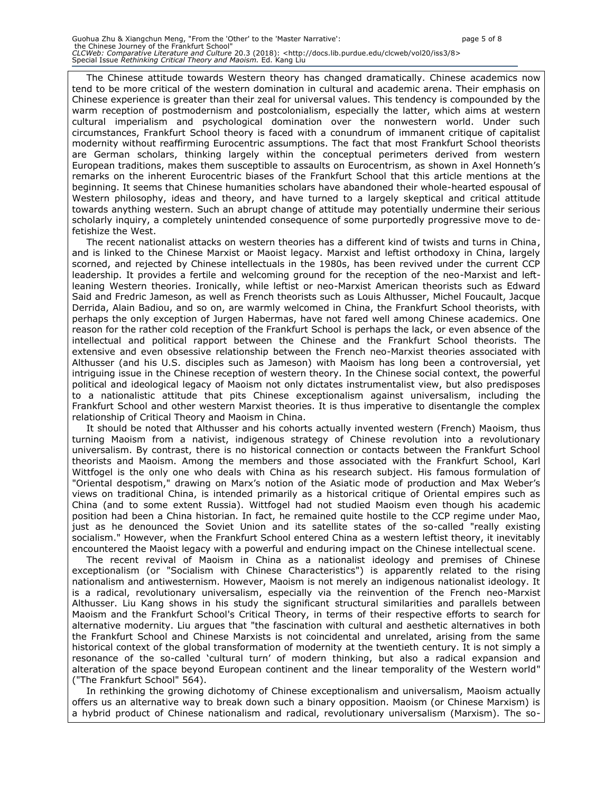The Chinese attitude towards Western theory has changed dramatically. Chinese academics now tend to be more critical of the western domination in cultural and academic arena. Their emphasis on Chinese experience is greater than their zeal for universal values. This tendency is compounded by the warm reception of postmodernism and postcolonialism, especially the latter, which aims at western cultural imperialism and psychological domination over the nonwestern world. Under such circumstances, Frankfurt School theory is faced with a conundrum of immanent critique of capitalist modernity without reaffirming Eurocentric assumptions. The fact that most Frankfurt School theorists are German scholars, thinking largely within the conceptual perimeters derived from western European traditions, makes them susceptible to assaults on Eurocentrism, as shown in Axel Honneth's remarks on the inherent Eurocentric biases of the Frankfurt School that this article mentions at the beginning. It seems that Chinese humanities scholars have abandoned their whole-hearted espousal of Western philosophy, ideas and theory, and have turned to a largely skeptical and critical attitude towards anything western. Such an abrupt change of attitude may potentially undermine their serious scholarly inquiry, a completely unintended consequence of some purportedly progressive move to defetishize the West.

The recent nationalist attacks on western theories has a different kind of twists and turns in China, and is linked to the Chinese Marxist or Maoist legacy. Marxist and leftist orthodoxy in China, largely scorned, and rejected by Chinese intellectuals in the 1980s, has been revived under the current CCP leadership. It provides a fertile and welcoming ground for the reception of the neo-Marxist and leftleaning Western theories. Ironically, while leftist or neo-Marxist American theorists such as Edward Said and Fredric Jameson, as well as French theorists such as Louis Althusser, Michel Foucault, Jacque Derrida, Alain Badiou, and so on, are warmly welcomed in China, the Frankfurt School theorists, with perhaps the only exception of Jurgen Habermas, have not fared well among Chinese academics. One reason for the rather cold reception of the Frankfurt School is perhaps the lack, or even absence of the intellectual and political rapport between the Chinese and the Frankfurt School theorists. The extensive and even obsessive relationship between the French neo-Marxist theories associated with Althusser (and his U.S. disciples such as Jameson) with Maoism has long been a controversial, yet intriguing issue in the Chinese reception of western theory. In the Chinese social context, the powerful political and ideological legacy of Maoism not only dictates instrumentalist view, but also predisposes to a nationalistic attitude that pits Chinese exceptionalism against universalism, including the Frankfurt School and other western Marxist theories. It is thus imperative to disentangle the complex relationship of Critical Theory and Maoism in China.

It should be noted that Althusser and his cohorts actually invented western (French) Maoism, thus turning Maoism from a nativist, indigenous strategy of Chinese revolution into a revolutionary universalism. By contrast, there is no historical connection or contacts between the Frankfurt School theorists and Maoism. Among the members and those associated with the Frankfurt School, Karl Wittfogel is the only one who deals with China as his research subject. His famous formulation of "Oriental despotism," drawing on Marx's notion of the Asiatic mode of production and Max Weber's views on traditional China, is intended primarily as a historical critique of Oriental empires such as China (and to some extent Russia). Wittfogel had not studied Maoism even though his academic position had been a China historian. In fact, he remained quite hostile to the CCP regime under Mao, just as he denounced the Soviet Union and its satellite states of the so-called "really existing socialism." However, when the Frankfurt School entered China as a western leftist theory, it inevitably encountered the Maoist legacy with a powerful and enduring impact on the Chinese intellectual scene.

The recent revival of Maoism in China as a nationalist ideology and premises of Chinese exceptionalism (or "Socialism with Chinese Characteristics") is apparently related to the rising nationalism and antiwesternism. However, Maoism is not merely an indigenous nationalist ideology. It is a radical, revolutionary universalism, especially via the reinvention of the French neo-Marxist Althusser. Liu Kang shows in his study the significant structural similarities and parallels between Maoism and the Frankfurt School's Critical Theory, in terms of their respective efforts to search for alternative modernity. Liu argues that "the fascination with cultural and aesthetic alternatives in both the Frankfurt School and Chinese Marxists is not coincidental and unrelated, arising from the same historical context of the global transformation of modernity at the twentieth century. It is not simply a resonance of the so-called 'cultural turn' of modern thinking, but also a radical expansion and alteration of the space beyond European continent and the linear temporality of the Western world" ("The Frankfurt School" 564).

In rethinking the growing dichotomy of Chinese exceptionalism and universalism, Maoism actually offers us an alternative way to break down such a binary opposition. Maoism (or Chinese Marxism) is a hybrid product of Chinese nationalism and radical, revolutionary universalism (Marxism). The so-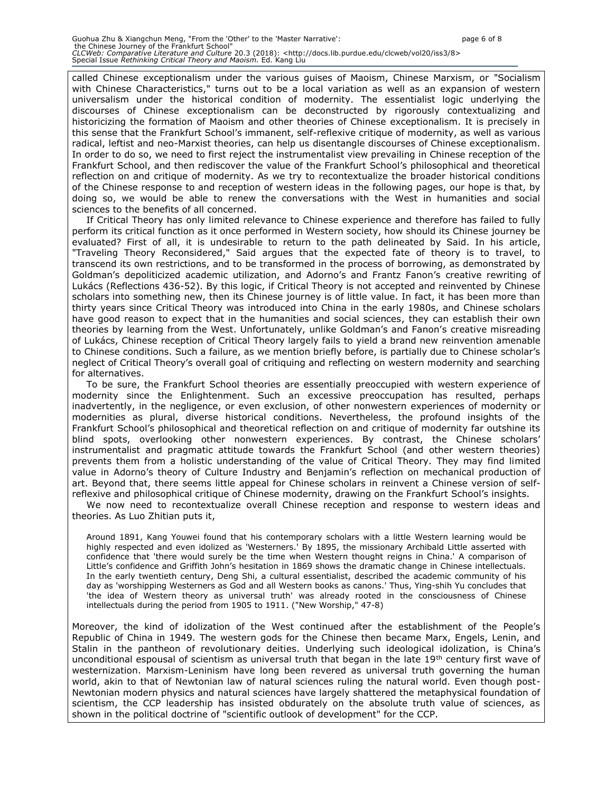called Chinese exceptionalism under the various guises of Maoism, Chinese Marxism, or "Socialism with Chinese Characteristics," turns out to be a local variation as well as an expansion of western universalism under the historical condition of modernity. The essentialist logic underlying the discourses of Chinese exceptionalism can be deconstructed by rigorously contextualizing and historicizing the formation of Maoism and other theories of Chinese exceptionalism. It is precisely in this sense that the Frankfurt School's immanent, self-reflexive critique of modernity, as well as various radical, leftist and neo-Marxist theories, can help us disentangle discourses of Chinese exceptionalism. In order to do so, we need to first reject the instrumentalist view prevailing in Chinese reception of the Frankfurt School, and then rediscover the value of the Frankfurt School's philosophical and theoretical reflection on and critique of modernity. As we try to recontextualize the broader historical conditions of the Chinese response to and reception of western ideas in the following pages, our hope is that, by doing so, we would be able to renew the conversations with the West in humanities and social sciences to the benefits of all concerned.

If Critical Theory has only limited relevance to Chinese experience and therefore has failed to fully perform its critical function as it once performed in Western society, how should its Chinese journey be evaluated? First of all, it is undesirable to return to the path delineated by Said. In his article, "Traveling Theory Reconsidered," Said argues that the expected fate of theory is to travel, to transcend its own restrictions, and to be transformed in the process of borrowing, as demonstrated by Goldman's depoliticized academic utilization, and Adorno's and Frantz Fanon's creative rewriting of Lukács (Reflections 436-52). By this logic, if Critical Theory is not accepted and reinvented by Chinese scholars into something new, then its Chinese journey is of little value. In fact, it has been more than thirty years since Critical Theory was introduced into China in the early 1980s, and Chinese scholars have good reason to expect that in the humanities and social sciences, they can establish their own theories by learning from the West. Unfortunately, unlike Goldman's and Fanon's creative misreading of Lukács, Chinese reception of Critical Theory largely fails to yield a brand new reinvention amenable to Chinese conditions. Such a failure, as we mention briefly before, is partially due to Chinese scholar's neglect of Critical Theory's overall goal of critiquing and reflecting on western modernity and searching for alternatives.

To be sure, the Frankfurt School theories are essentially preoccupied with western experience of modernity since the Enlightenment. Such an excessive preoccupation has resulted, perhaps inadvertently, in the negligence, or even exclusion, of other nonwestern experiences of modernity or modernities as plural, diverse historical conditions. Nevertheless, the profound insights of the Frankfurt School's philosophical and theoretical reflection on and critique of modernity far outshine its blind spots, overlooking other nonwestern experiences. By contrast, the Chinese scholars' instrumentalist and pragmatic attitude towards the Frankfurt School (and other western theories) prevents them from a holistic understanding of the value of Critical Theory. They may find limited value in Adorno's theory of Culture Industry and Benjamin's reflection on mechanical production of art. Beyond that, there seems little appeal for Chinese scholars in reinvent a Chinese version of selfreflexive and philosophical critique of Chinese modernity, drawing on the Frankfurt School's insights.

We now need to recontextualize overall Chinese reception and response to western ideas and theories. As Luo Zhitian puts it,

Around 1891, Kang Youwei found that his contemporary scholars with a little Western learning would be highly respected and even idolized as 'Westerners.' By 1895, the missionary Archibald Little asserted with confidence that 'there would surely be the time when Western thought reigns in China.' A comparison of Little's confidence and Griffith John's hesitation in 1869 shows the dramatic change in Chinese intellectuals. In the early twentieth century, Deng Shi, a cultural essentialist, described the academic community of his day as 'worshipping Westerners as God and all Western books as canons.' Thus, Ying-shih Yu concludes that 'the idea of Western theory as universal truth' was already rooted in the consciousness of Chinese intellectuals during the period from 1905 to 1911. ("New Worship," 47-8)

Moreover, the kind of idolization of the West continued after the establishment of the People's Republic of China in 1949. The western gods for the Chinese then became Marx, Engels, Lenin, and Stalin in the pantheon of revolutionary deities. Underlying such ideological idolization, is China's unconditional espousal of scientism as universal truth that began in the late 19<sup>th</sup> century first wave of westernization. Marxism-Leninism have long been revered as universal truth governing the human world, akin to that of Newtonian law of natural sciences ruling the natural world. Even though post-Newtonian modern physics and natural sciences have largely shattered the metaphysical foundation of scientism, the CCP leadership has insisted obdurately on the absolute truth value of sciences, as shown in the political doctrine of "scientific outlook of development" for the CCP.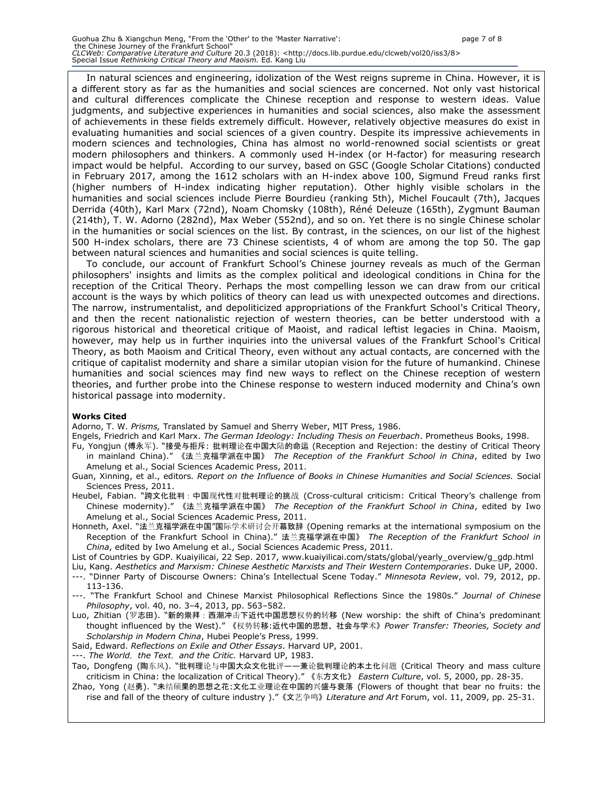In natural sciences and engineering, idolization of the West reigns supreme in China. However, it is a different story as far as the humanities and social sciences are concerned. Not only vast historical and cultural differences complicate the Chinese reception and response to western ideas. Value judgments, and subjective experiences in humanities and social sciences, also make the assessment of achievements in these fields extremely difficult. However, relatively objective measures do exist in evaluating humanities and social sciences of a given country. Despite its impressive achievements in modern sciences and technologies, China has almost no world-renowned social scientists or great modern philosophers and thinkers. A commonly used H-index (or H-factor) for measuring research impact would be helpful. According to our survey, based on GSC (Google Scholar Citations) conducted in February 2017, among the 1612 scholars with an H-index above 100, Sigmund Freud ranks first (higher numbers of H-index indicating higher reputation). Other highly visible scholars in the humanities and social sciences include Pierre Bourdieu (ranking 5th), Michel Foucault (7th), Jacques Derrida (40th), Karl Marx (72nd), Noam Chomsky (108th), Réné Deleuze (165th), Zygmunt Bauman (214th), T. W. Adorno (282nd), Max Weber (552nd), and so on. Yet there is no single Chinese scholar in the humanities or social sciences on the list. By contrast, in the sciences, on our list of the highest 500 H-index scholars, there are 73 Chinese scientists, 4 of whom are among the top 50. The gap between natural sciences and humanities and social sciences is quite telling.

To conclude, our account of Frankfurt School's Chinese journey reveals as much of the German philosophers' insights and limits as the complex political and ideological conditions in China for the reception of the Critical Theory. Perhaps the most compelling lesson we can draw from our critical account is the ways by which politics of theory can lead us with unexpected outcomes and directions. The narrow, instrumentalist, and depoliticized appropriations of the Frankfurt School's Critical Theory, and then the recent nationalistic rejection of western theories, can be better understood with a rigorous historical and theoretical critique of Maoist, and radical leftist legacies in China. Maoism, however, may help us in further inquiries into the universal values of the Frankfurt School's Critical Theory, as both Maoism and Critical Theory, even without any actual contacts, are concerned with the critique of capitalist modernity and share a similar utopian vision for the future of humankind. Chinese humanities and social sciences may find new ways to reflect on the Chinese reception of western theories, and further probe into the Chinese response to western induced modernity and China's own historical passage into modernity.

#### **Works Cited**

Adorno, T. W. *Prisms,* Translated by Samuel and Sherry Weber, MIT Press, 1986.

- Engels, Friedrich and Karl Marx. *The German Ideology: Including Thesis on Feuerbach*. Prometheus Books, 1998.
- Fu, Yongjun (傅永军). "接受与拒斥: 批判理论在中国大陆的命运 (Reception and Rejection: the destiny of Critical Theory in mainland China)." 《法兰克福学派在中国》 *The Reception of the Frankfurt School in China*, edited by Iwo Amelung et al., Social Sciences Academic Press, 2011.
- Guan, Xinning, et al., editors*. Report on the Influence of Books in Chinese Humanities and Social Sciences.* Social Sciences Press, 2011.

Heubel, Fabian. "跨文化批判:中国现代性对批判理论的挑战 (Cross-cultural criticism: Critical Theory's challenge from Chinese modernity)." 《法兰克福学派在中国》 *The Reception of the Frankfurt School in China*, edited by Iwo Amelung et al., Social Sciences Academic Press, 2011.

Honneth, Axel. "法兰克福学派在中国"国际学术研讨会开幕致辞 (Opening remarks at the international symposium on the Reception of the Frankfurt School in China)." 法兰克福学派在中国》 *The Reception of the Frankfurt School in China*, edited by Iwo Amelung et al., Social Sciences Academic Press, 2011.

List of Countries by GDP. Kuaiyilicai, 22 Sep. 2017, www.kuaiyilicai.com/stats/global/yearly\_overview/g\_gdp.html

- Liu, Kang. *Aesthetics and Marxism: Chinese Aesthetic Marxists and Their Western Contemporaries*. Duke UP, 2000. ---. "Dinner Party of Discourse Owners: China's Intellectual Scene Today." *Minnesota Review*, vol. 79, 2012, pp.
- 113-136.
- "The Frankfurt School and Chinese Marxist Philosophical Reflections Since the 1980s." *Journal of Chinese Philosophy*, vol. 40, no. 3–4, 2013, pp. 563–582.
- Luo, Zhitian (罗志田). "新的崇拜:西潮冲击下近代中国思想权势的转移 (New worship: the shift of China's predominant thought influenced by the West)." 《权势转移:近代中国的思想、社会与学术》*Power Transfer: Theories, Society and Scholarship in Modern China*, Hubei People's Press, 1999.
- Said, Edward. *Reflections on Exile and Other Essays*. Harvard UP, 2001.
- ---. *The World*,*the Text*,*and the Critic.* Harvard UP, 1983.

Tao, Dongfeng (陶东风). "批判理论与中国大众文化批评——兼论批判理论的本土化问题 (Critical Theory and mass culture criticism in China: the localization of Critical Theory)." 《东方文化》 *Eastern Culture*, vol. 5, 2000, pp. 28-35.

Zhao, Yong (赵勇). "未结硕果的思想之花:文化工业理论在中国的兴盛与衰落 (Flowers of thought that bear no fruits: the rise and fall of the theory of culture industry )."《文艺争鸣》*Literature and Art* Forum, vol. 11, 2009, pp. 25-31.